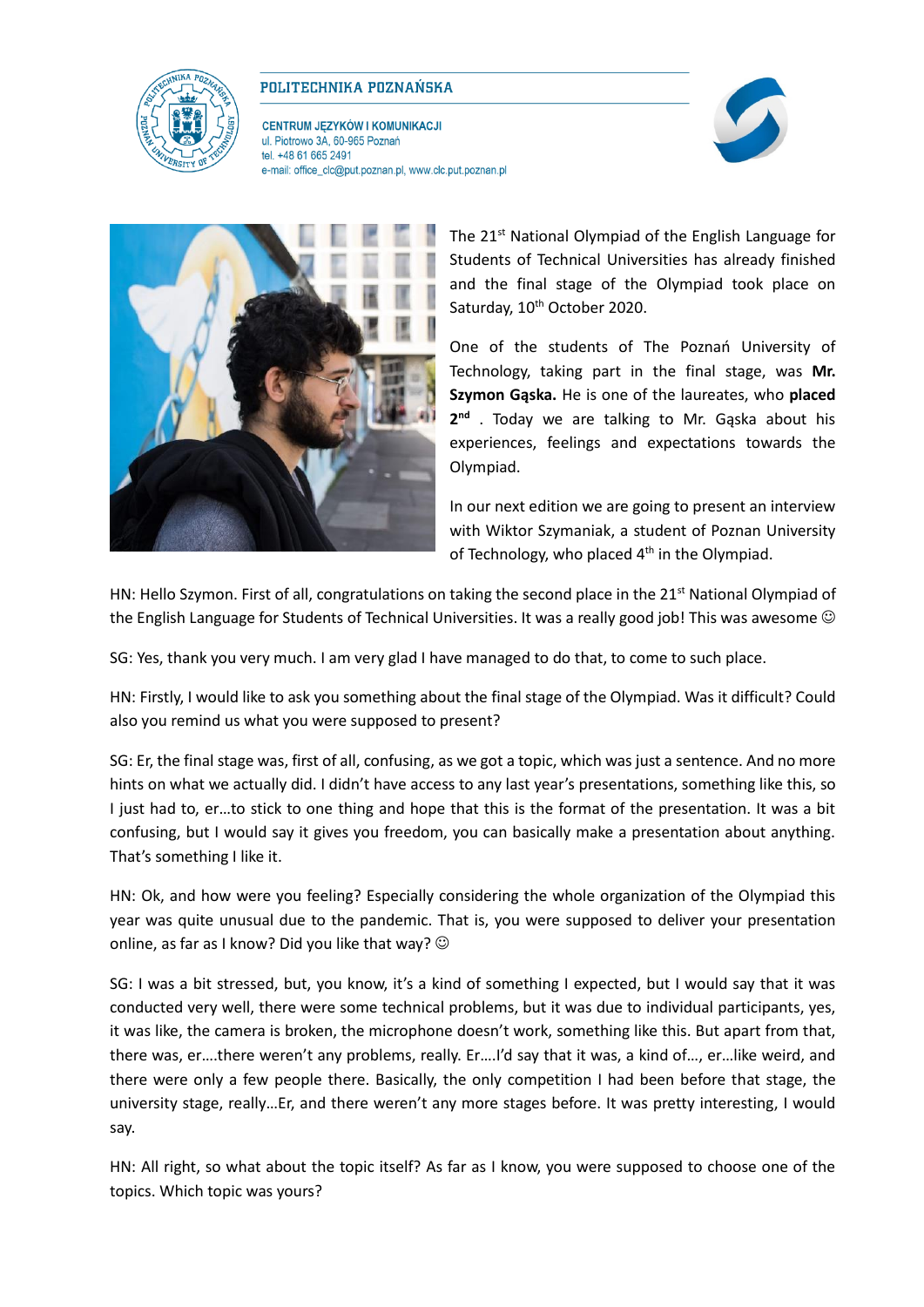

## POLITECHNIKA POZNAŃSKA

**CENTRUM JĘZYKÓW I KOMUNIKACJI** ul. Piotrowo 3A, 60-965 Poznań tel. +48 61 665 2491 e-mail: office\_clc@put.poznan.pl, www.clc.put.poznan.pl





The 21<sup>st</sup> National Olympiad of the English Language for Students of Technical Universities has already finished and the final stage of the Olympiad took place on Saturday, 10<sup>th</sup> October 2020.

One of the students of The Poznań University of Technology, taking part in the final stage, was **Mr. Szymon Gąska.** He is one of the laureates, who **placed 2 nd** . Today we are talking to Mr. Gąska about his experiences, feelings and expectations towards the Olympiad.

In our next edition we are going to present an interview with Wiktor Szymaniak, a student of Poznan University of Technology, who placed  $4<sup>th</sup>$  in the Olympiad.

HN: Hello Szymon. First of all, congratulations on taking the second place in the  $21^{st}$  National Olympiad of the English Language for Students of Technical Universities. It was a really good job! This was awesome  $\odot$ 

SG: Yes, thank you very much. I am very glad I have managed to do that, to come to such place.

HN: Firstly, I would like to ask you something about the final stage of the Olympiad. Was it difficult? Could also you remind us what you were supposed to present?

SG: Er, the final stage was, first of all, confusing, as we got a topic, which was just a sentence. And no more hints on what we actually did. I didn't have access to any last year's presentations, something like this, so I just had to, er...to stick to one thing and hope that this is the format of the presentation. It was a bit confusing, but I would say it gives you freedom, you can basically make a presentation about anything. That's something I like it.

HN: Ok, and how were you feeling? Especially considering the whole organization of the Olympiad this year was quite unusual due to the pandemic. That is, you were supposed to deliver your presentation online, as far as I know? Did you like that way?  $\odot$ 

SG: I was a bit stressed, but, you know, it's a kind of something I expected, but I would say that it was conducted very well, there were some technical problems, but it was due to individual participants, yes, it was like, the camera is broken, the microphone doesn't work, something like this. But apart from that, there was, er….there weren't any problems, really. Er….I'd say that it was, a kind of…, er…like weird, and there were only a few people there. Basically, the only competition I had been before that stage, the university stage, really…Er, and there weren't any more stages before. It was pretty interesting, I would say.

HN: All right, so what about the topic itself? As far as I know, you were supposed to choose one of the topics. Which topic was yours?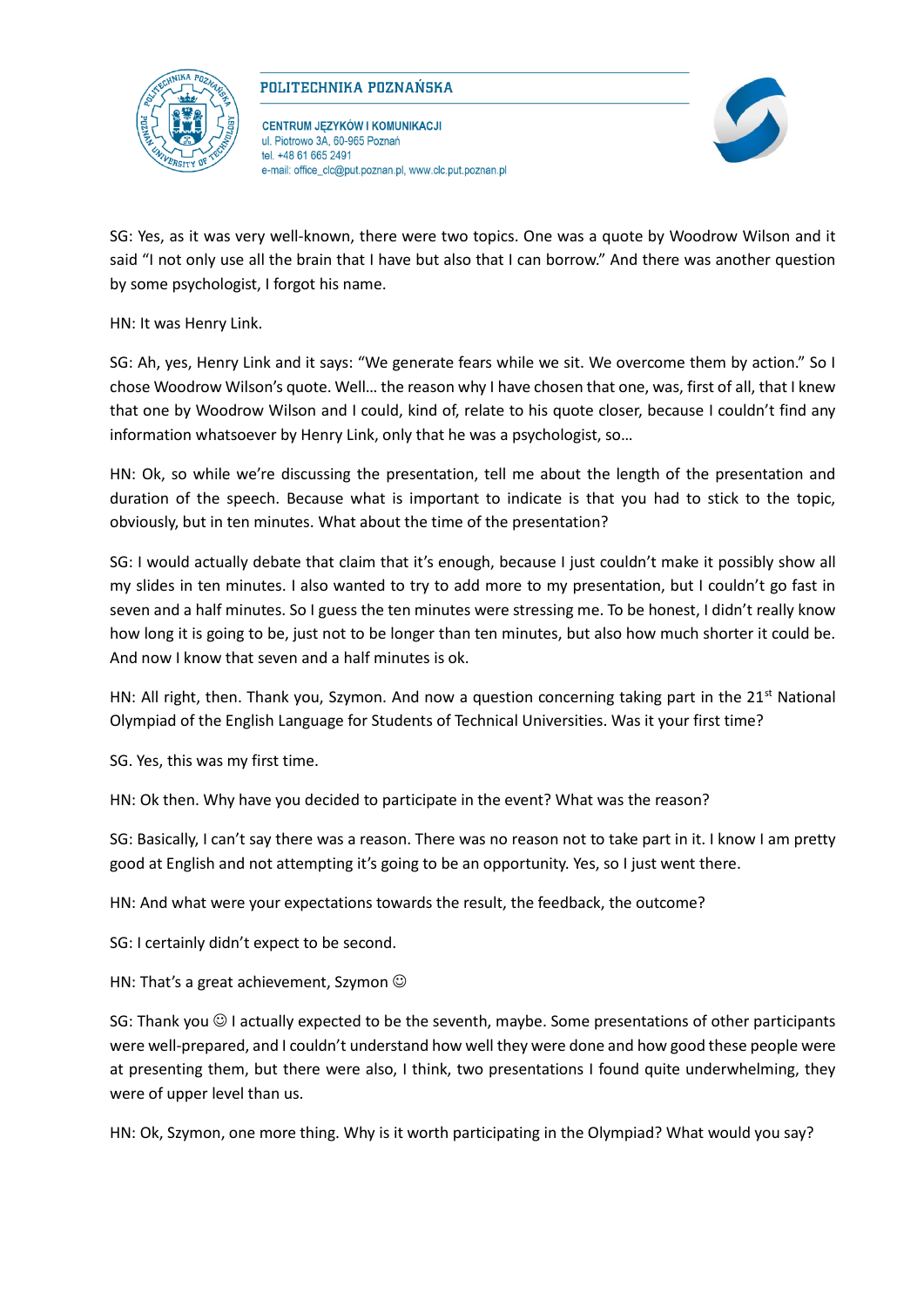

## POLITECHNIKA POZNAŃSKA

**CENTRUM JĘZYKÓW I KOMUNIKACJI** ul. Piotrowo 3A, 60-965 Poznań tel +48 61 665 2491 e-mail: office\_clc@put.poznan.pl, www.clc.put.poznan.pl



SG: Yes, as it was very well-known, there were two topics. One was a quote by Woodrow Wilson and it said "I not only use all the brain that I have but also that I can borrow." And there was another question by some psychologist, I forgot his name.

HN: It was Henry Link.

SG: Ah, yes, Henry Link and it says: "We generate fears while we sit. We overcome them by action." So I chose Woodrow Wilson's quote. Well… the reason why I have chosen that one, was, first of all, that I knew that one by Woodrow Wilson and I could, kind of, relate to his quote closer, because I couldn't find any information whatsoever by Henry Link, only that he was a psychologist, so…

HN: Ok, so while we're discussing the presentation, tell me about the length of the presentation and duration of the speech. Because what is important to indicate is that you had to stick to the topic, obviously, but in ten minutes. What about the time of the presentation?

SG: I would actually debate that claim that it's enough, because I just couldn't make it possibly show all my slides in ten minutes. I also wanted to try to add more to my presentation, but I couldn't go fast in seven and a half minutes. So I guess the ten minutes were stressing me. To be honest, I didn't really know how long it is going to be, just not to be longer than ten minutes, but also how much shorter it could be. And now I know that seven and a half minutes is ok.

HN: All right, then. Thank you, Szymon. And now a question concerning taking part in the  $21<sup>st</sup>$  National Olympiad of the English Language for Students of Technical Universities. Was it your first time?

SG. Yes, this was my first time.

HN: Ok then. Why have you decided to participate in the event? What was the reason?

SG: Basically, I can't say there was a reason. There was no reason not to take part in it. I know I am pretty good at English and not attempting it's going to be an opportunity. Yes, so I just went there.

HN: And what were your expectations towards the result, the feedback, the outcome?

SG: I certainly didn't expect to be second.

HN: That's a great achievement, Szymon  $\odot$ 

SG: Thank you  $\odot$  I actually expected to be the seventh, maybe. Some presentations of other participants were well-prepared, and I couldn't understand how well they were done and how good these people were at presenting them, but there were also, I think, two presentations I found quite underwhelming, they were of upper level than us.

HN: Ok, Szymon, one more thing. Why is it worth participating in the Olympiad? What would you say?